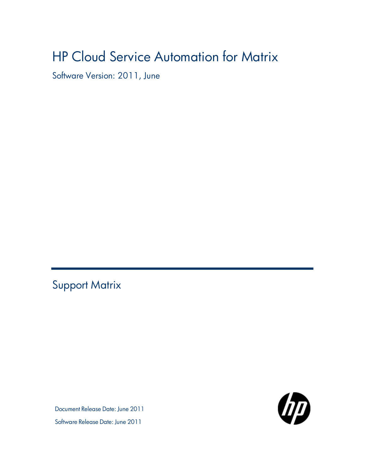# HP Cloud Service Automation for Matrix

Software Version: 2011, June

<span id="page-0-0"></span>Support Matrix

Document Release Date: June 2011 Software Release Date: June 2011

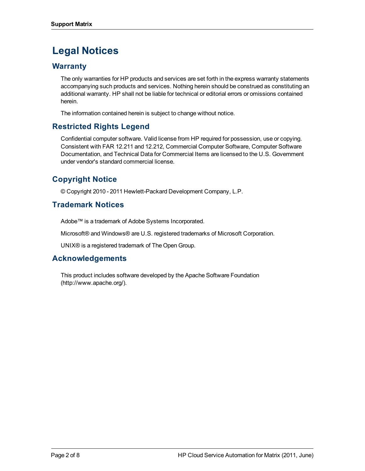## **Legal Notices**

### **Warranty**

The only warranties for HP products and services are set forth in the express warranty statements accompanying such products and services. Nothing herein should be construed as constituting an additional warranty. HP shall not be liable for technical or editorial errors or omissions contained herein.

The information contained herein is subject to change without notice.

### **Restricted Rights Legend**

Confidential computer software. Valid license from HP required for possession, use or copying. Consistent with FAR 12.211 and 12.212, Commercial Computer Software, Computer Software Documentation, and Technical Data for Commercial Items are licensed to the U.S. Government under vendor's standard commercial license.

## **Copyright Notice**

© Copyright 2010 - 2011 Hewlett-Packard Development Company, L.P.

### **Trademark Notices**

Adobe™ is a trademark of Adobe Systems Incorporated.

Microsoft® and Windows® are U.S. registered trademarks of Microsoft Corporation.

UNIX® is a registered trademark of The Open Group.

### **Acknowledgements**

This product includes software developed by the Apache Software Foundation (http://www.apache.org/).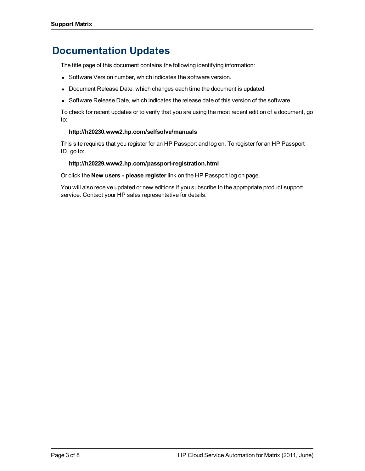## **Documentation Updates**

The title page of this document contains the following identifying information:

- Software Version number, which indicates the software version.
- Document Release Date, which changes each time the document is updated.
- Software Release Date, which indicates the release date of this version of the software.

To check for recent updates or to verify that you are using the most recent edition of a document, go to:

#### **http://h20230.www2.hp.com/selfsolve/manuals**

This site requires that you register for an HP Passport and log on. To register for an HP Passport ID, go to:

#### **http://h20229.www2.hp.com/passport-registration.html**

Or click the **New users - please register** link on the HP Passport log on page.

You will also receive updated or new editions if you subscribe to the appropriate product support service. Contact your HP sales representative for details.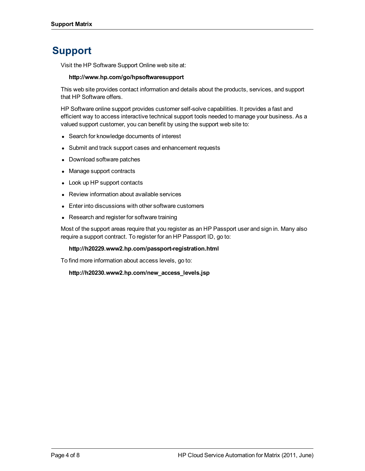## **Support**

Visit the HP Software Support Online web site at:

#### **http://www.hp.com/go/hpsoftwaresupport**

This web site provides contact information and details about the products, services, and support that HP Software offers.

HP Software online support provides customer self-solve capabilities. It provides a fast and efficient way to access interactive technical support tools needed to manage your business. As a valued support customer, you can benefit by using the support web site to:

- Search for knowledge documents of interest
- Submit and track support cases and enhancement requests
- Download software patches
- Manage support contracts
- Look up HP support contacts
- Review information about available services
- Enter into discussions with other software customers
- Research and register for software training

Most of the support areas require that you register as an HP Passport user and sign in. Many also require a support contract. To register for an HP Passport ID, go to:

#### **http://h20229.www2.hp.com/passport-registration.html**

To find more information about access levels, go to:

**http://h20230.www2.hp.com/new\_access\_levels.jsp**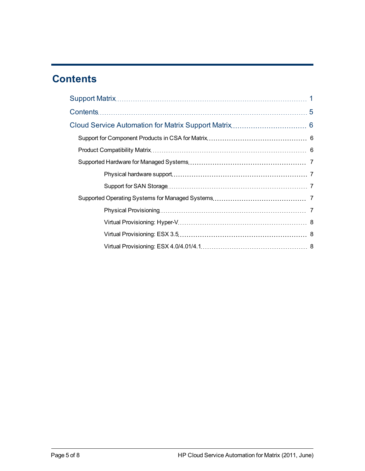## <span id="page-4-0"></span>**Contents**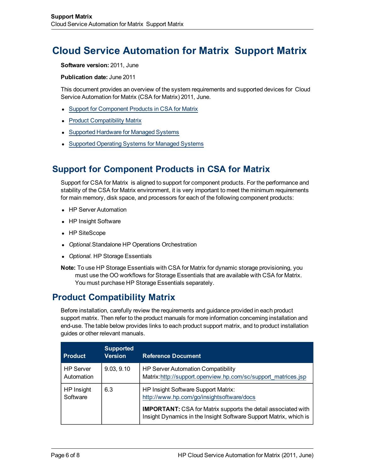## <span id="page-5-0"></span>**Cloud Service Automation for Matrix Support Matrix**

**Software version:** 2011, June

**Publication date:** June 2011

This document provides an overview of the system requirements and supported devices for Cloud Service Automation for Matrix (CSA for Matrix) 2011, June.

- [Support](#page-5-1) [for](#page-5-1) [Component](#page-5-1) [Products](#page-5-1) [in](#page-5-1) [CSA](#page-5-1) for [Matrix](#page-5-1)
- [Product](#page-5-2) [Compatibility](#page-5-2) [Matrix](#page-5-2)
- [Supported](#page-6-0) [Hardware](#page-6-0) [for](#page-6-0) [Managed](#page-6-0) [Systems](#page-6-0)
- [Supported](#page-6-3) [Operating](#page-6-3) [Systems](#page-6-3) [for](#page-6-3) [Managed](#page-6-3) Systems

## <span id="page-5-1"></span>**Support for Component Products in CSA for Matrix**

Support for CSA for Matrix is aligned to support for component products. For the performance and stability of the CSA for Matrix environment, it is very important to meet the minimum requirements for main memory, disk space, and processors for each of the following component products:

- HP Server Automation
- HP Insight Software
- HP SiteScope
- **Optional. Standalone HP Operations Orchestration**
- Optional. HP Storage Essentials
- **Note:** To use HP Storage Essentials with CSA for Matrix for dynamic storage provisioning, you must use the OO workflows for Storage Essentials that are available with CSA for Matrix. You must purchase HP Storage Essentials separately.

### <span id="page-5-2"></span>**Product Compatibility Matrix**

Before installation, carefully review the requirements and guidance provided in each product support matrix. Then refer to the product manuals for more information concerning installation and end-use. The table below provides links to each product support matrix, and to product installation guides or other relevant manuals.

| <b>Product</b>                 | <b>Supported</b><br><b>Version</b> | <b>Reference Document</b>                                                                                                                                                                                                     |
|--------------------------------|------------------------------------|-------------------------------------------------------------------------------------------------------------------------------------------------------------------------------------------------------------------------------|
| <b>HP Server</b><br>Automation | 9.03, 9.10                         | HP Server Automation Compatibility<br>Matrix:http://support.openview.hp.com/sc/support_matrices.jsp                                                                                                                           |
| HP Insight<br>Software         | 6.3                                | HP Insight Software Support Matrix:<br>http://www.hp.com/go/insightsoftware/docs<br><b>IMPORTANT:</b> CSA for Matrix supports the detail associated with<br>Insight Dynamics in the Insight Software Support Matrix, which is |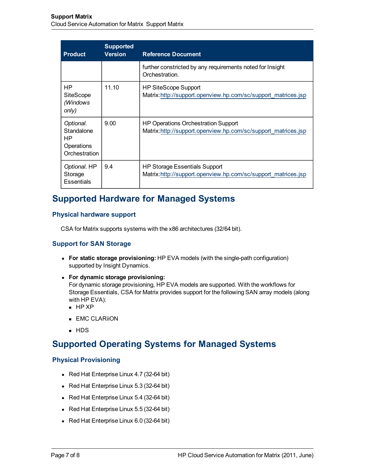| <b>Product</b>                                                | <b>Supported</b><br><b>Version</b> | <b>Reference Document</b>                                                                            |
|---------------------------------------------------------------|------------------------------------|------------------------------------------------------------------------------------------------------|
|                                                               |                                    | further constricted by any requirements noted for Insight<br>Orchestration.                          |
| HP<br>SiteScope<br>(Windows<br>only)                          | 11.10                              | HP SiteScope Support<br>Matrix:http://support.openview.hp.com/sc/support_matrices.jsp                |
| Optional.<br>Standalone<br>HP.<br>Operations<br>Orchestration | 9.00                               | HP Operations Orchestration Support<br>Matrix:http://support.openview.hp.com/sc/support_matrices.jsp |
| Optional. HP<br>Storage<br>Essentials                         | 9.4                                | HP Storage Essentials Support<br>Matrix:http://support.openview.hp.com/sc/support_matrices.jsp       |

## <span id="page-6-0"></span>**Supported Hardware for Managed Systems**

### <span id="page-6-1"></span>**Physical hardware support**

CSA for Matrix supports systems with the x86 architectures (32/64 bit).

### <span id="page-6-2"></span>**Support for SAN Storage**

- <sup>l</sup> **For static storage provisioning:** HP EVA models (with the single-path configuration) supported by Insight Dynamics.
- <sup>l</sup> **For dynamic storage provisioning:**

For dynamic storage provisioning, HP EVA models are supported. With the workflows for Storage Essentials, CSA for Matrix provides support for the following SAN array models (along with HP EVA):

- $HP XP$
- $\blacksquare$  EMC CLARiiON
- **n** HDS

## <span id="page-6-3"></span>**Supported Operating Systems for Managed Systems**

### <span id="page-6-4"></span>**Physical Provisioning**

- Red Hat Enterprise Linux 4.7 (32-64 bit)
- Red Hat Enterprise Linux  $5.3$  (32-64 bit)
- Red Hat Enterprise Linux  $5.4$  (32-64 bit)
- Red Hat Enterprise Linux  $5.5$  (32-64 bit)
- Red Hat Enterprise Linux  $6.0$  (32-64 bit)